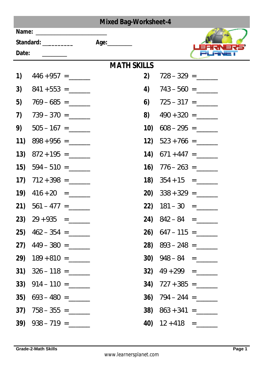| <b>Mixed Bag-Worksheet-4</b> |                                                                                                                |                    |                             |  |  |  |
|------------------------------|----------------------------------------------------------------------------------------------------------------|--------------------|-----------------------------|--|--|--|
|                              | Name: and the state of the state of the state of the state of the state of the state of the state of the state |                    |                             |  |  |  |
| Standard: __________         |                                                                                                                |                    |                             |  |  |  |
| Date:                        |                                                                                                                |                    |                             |  |  |  |
|                              |                                                                                                                | <b>MATH SKILLS</b> |                             |  |  |  |
| 1)                           | $446 + 957 =$                                                                                                  | 2)                 | $728 - 329 =$               |  |  |  |
| 3)                           |                                                                                                                |                    | 4) $743 - 560 =$            |  |  |  |
| 5)                           |                                                                                                                |                    | 6) $725 - 317 =$            |  |  |  |
| 7)                           |                                                                                                                | 8)                 |                             |  |  |  |
| 9)                           |                                                                                                                |                    | 10) $608 - 295 =$           |  |  |  |
| (11)                         |                                                                                                                |                    | 12) $523 + 766 =$           |  |  |  |
|                              | 13) $872 + 195 =$                                                                                              |                    | 14) $671 + 447 =$           |  |  |  |
|                              | <b>15)</b> $594 - 510 =$                                                                                       |                    | <b>16)</b> $776 - 263 =$    |  |  |  |
|                              |                                                                                                                |                    | <b>18)</b> $354 + 15 =$     |  |  |  |
|                              | $19)$ $416 + 20 =$                                                                                             |                    | <b>20)</b> $338 + 329 =$    |  |  |  |
|                              | <b>21)</b> $561 - 477 =$                                                                                       |                    | $22)$ $181 - 30 =$          |  |  |  |
|                              | 23) $29 + 935 =$                                                                                               |                    | <b>24)</b> $842 - 84 =$     |  |  |  |
|                              | <b>25)</b> $462 - 354 =$                                                                                       |                    | <b>26)</b> $647 - 115 = \_$ |  |  |  |
|                              | 27) $449 - 380 =$                                                                                              |                    | <b>28)</b> $893 - 248 =$    |  |  |  |
|                              |                                                                                                                |                    | 30) $948 - 84 =$            |  |  |  |
|                              |                                                                                                                |                    | 32) $49 + 299 =$            |  |  |  |
|                              |                                                                                                                |                    | 34) $727 + 385 =$           |  |  |  |
|                              | $35)$ 693 – 480 = ________                                                                                     |                    | 36) $794 - 244 =$           |  |  |  |
|                              | 37) $758 - 355 =$                                                                                              |                    |                             |  |  |  |
|                              |                                                                                                                |                    | 40) $12 + 418 =$            |  |  |  |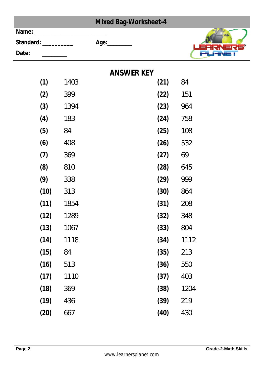| <b>Mixed Bag-Worksheet-4</b> |                    |      |                   |      |      |
|------------------------------|--------------------|------|-------------------|------|------|
| Name:                        |                    |      |                   |      |      |
|                              | Standard: ________ |      | Age:_________     |      |      |
| Date:                        |                    |      |                   |      |      |
|                              |                    |      | <b>ANSWER KEY</b> |      |      |
|                              | (1)                | 1403 |                   | (21) | 84   |
|                              | (2)                | 399  |                   | (22) | 151  |
|                              | (3)                | 1394 |                   | (23) | 964  |
|                              | (4)                | 183  |                   | (24) | 758  |
|                              | (5)                | 84   |                   | (25) | 108  |
|                              | (6)                | 408  |                   | (26) | 532  |
|                              | (7)                | 369  |                   | (27) | 69   |
|                              | (8)                | 810  |                   | (28) | 645  |
|                              | (9)                | 338  |                   | (29) | 999  |
|                              | (10)               | 313  |                   | (30) | 864  |
|                              | (11)               | 1854 |                   | (31) | 208  |
|                              | (12)               | 1289 |                   | (32) | 348  |
|                              | (13)               | 1067 |                   | (33) | 804  |
|                              | (14)               | 1118 |                   | (34) | 1112 |
|                              | (15)               | 84   |                   | (35) | 213  |
|                              | (16)               | 513  |                   | (36) | 550  |
|                              | (17)               | 1110 |                   | (37) | 403  |
|                              | (18)               | 369  |                   | (38) | 1204 |
|                              | (19)               | 436  |                   | (39) | 219  |
|                              | (20)               | 667  |                   | (40) | 430  |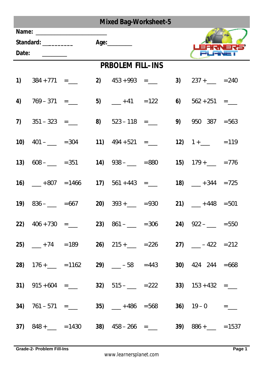| <b>Mixed Bag-Worksheet-5</b>                                                                                                                                                                                                                                                                                                                                                                                                                                  |                          |                               |  |                         |                                                                                                                                    |                        |  |
|---------------------------------------------------------------------------------------------------------------------------------------------------------------------------------------------------------------------------------------------------------------------------------------------------------------------------------------------------------------------------------------------------------------------------------------------------------------|--------------------------|-------------------------------|--|-------------------------|------------------------------------------------------------------------------------------------------------------------------------|------------------------|--|
| Name: ______________<br>Standard: __________<br>Date: $\frac{1}{\sqrt{1-\frac{1}{2}}\sqrt{1-\frac{1}{2}}\sqrt{1-\frac{1}{2}}\sqrt{1-\frac{1}{2}}\sqrt{1-\frac{1}{2}}\sqrt{1-\frac{1}{2}}\sqrt{1-\frac{1}{2}}\sqrt{1-\frac{1}{2}}\sqrt{1-\frac{1}{2}}\sqrt{1-\frac{1}{2}}\sqrt{1-\frac{1}{2}}\sqrt{1-\frac{1}{2}}\sqrt{1-\frac{1}{2}}\sqrt{1-\frac{1}{2}}\sqrt{1-\frac{1}{2}}\sqrt{1-\frac{1}{2}}\sqrt{1-\frac{1}{2}}\sqrt{1-\frac{1}{2}}\sqrt{1-\frac{1}{2}}$ |                          | Age: $\_\_\_\_\_\_\_\_\_\_\_$ |  |                         |                                                                                                                                    |                        |  |
|                                                                                                                                                                                                                                                                                                                                                                                                                                                               |                          |                               |  | <b>PRBOLEM FILL-INS</b> |                                                                                                                                    |                        |  |
|                                                                                                                                                                                                                                                                                                                                                                                                                                                               |                          |                               |  | 2) $453 + 993 =$        |                                                                                                                                    | 3) $237 + \_ = 240$    |  |
|                                                                                                                                                                                                                                                                                                                                                                                                                                                               | 4) $769 - 371 =$         |                               |  | 5) $-+41 = 122$         |                                                                                                                                    | 6) $562 + 251 =$       |  |
|                                                                                                                                                                                                                                                                                                                                                                                                                                                               | 7) $351 - 323 =$         |                               |  | 8) $523 - 118 =$ ____   |                                                                                                                                    | $9)$ $950$ $387 = 563$ |  |
|                                                                                                                                                                                                                                                                                                                                                                                                                                                               | <b>10)</b> $401 -$ = 304 |                               |  | 11) $494 + 521 =$ ____  |                                                                                                                                    | 12) $1+$ = 119         |  |
|                                                                                                                                                                                                                                                                                                                                                                                                                                                               | <b>13)</b> $608 - 351$   |                               |  | <b>14)</b> $938 - 880$  |                                                                                                                                    | 15) $179 + \_ = 776$   |  |
|                                                                                                                                                                                                                                                                                                                                                                                                                                                               |                          | <b>16)</b> $-+807 = 1466$     |  | 17) $561 + 443 =$       |                                                                                                                                    | 18) $-+344 = 725$      |  |
|                                                                                                                                                                                                                                                                                                                                                                                                                                                               |                          | <b>19)</b> $836 -$ = 667      |  |                         | <b>20)</b> $393 + \_ = 930$                                                                                                        | 21) $-+448 = 501$      |  |
|                                                                                                                                                                                                                                                                                                                                                                                                                                                               |                          |                               |  |                         | 22) $406 + 730 =$ 23) $861  = 306$ 24) $922  = 550$                                                                                |                        |  |
|                                                                                                                                                                                                                                                                                                                                                                                                                                                               |                          |                               |  |                         | 25) $+74 = 189$ 26) $215 + 226 = 226$ 27) $-422 = 212$                                                                             |                        |  |
|                                                                                                                                                                                                                                                                                                                                                                                                                                                               |                          |                               |  |                         | 28) $176 + \underline{\hspace{1cm}} = 1162$ 29) $\underline{\hspace{1cm}} - 58 = 443$ 30) 424 244 = 668                            |                        |  |
|                                                                                                                                                                                                                                                                                                                                                                                                                                                               |                          | 31) $915 + 604 =$ ____        |  |                         | 32) $515 - 222$ 33) $153 + 432 =$                                                                                                  |                        |  |
|                                                                                                                                                                                                                                                                                                                                                                                                                                                               |                          |                               |  |                         | 34) $761-571 =$ 35) $-+486 = 568$ 36) $19-0 =$                                                                                     |                        |  |
|                                                                                                                                                                                                                                                                                                                                                                                                                                                               |                          |                               |  |                         | 37) $848 + \underline{\hspace{1cm}} = 1430$ 38) $458 - 266 = \underline{\hspace{1cm}}$ 39) $886 + \underline{\hspace{1cm}} = 1537$ |                        |  |